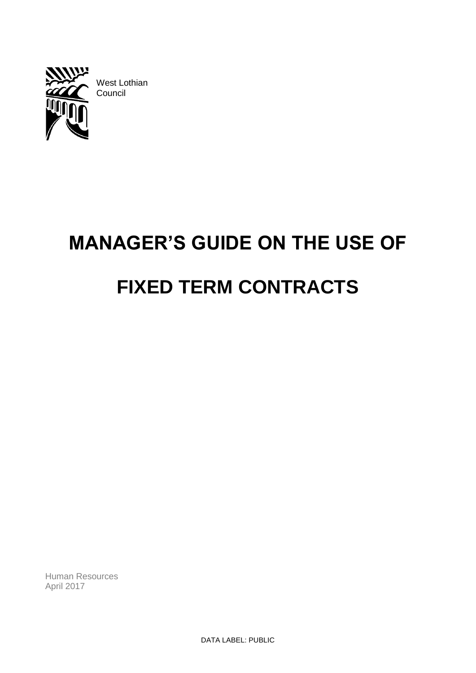

West Lothian Council

# **MANAGER'S GUIDE ON THE USE OF FIXED TERM CONTRACTS**

Human Resources April 2017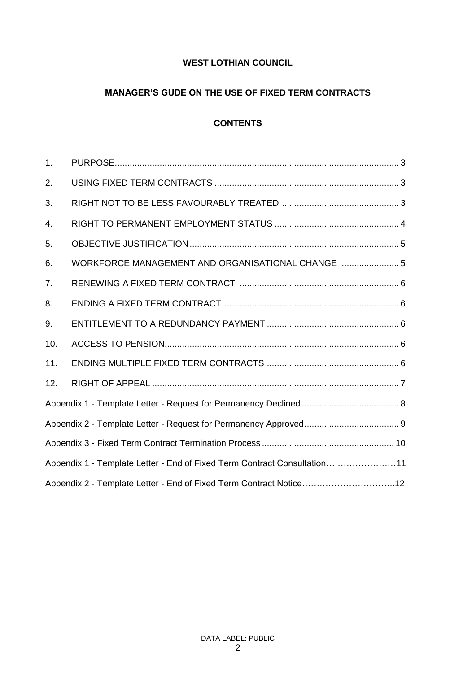# **WEST LOTHIAN COUNCIL**

# **MANAGER'S GUDE ON THE USE OF FIXED TERM CONTRACTS**

# **CONTENTS**

| 1.                                                                       |                                                   |  |
|--------------------------------------------------------------------------|---------------------------------------------------|--|
| 2.                                                                       |                                                   |  |
| 3.                                                                       |                                                   |  |
| 4.                                                                       |                                                   |  |
| 5.                                                                       |                                                   |  |
| 6.                                                                       | WORKFORCE MANAGEMENT AND ORGANISATIONAL CHANGE  5 |  |
| 7.                                                                       |                                                   |  |
| 8.                                                                       |                                                   |  |
| 9.                                                                       |                                                   |  |
| 10.                                                                      |                                                   |  |
| 11.                                                                      |                                                   |  |
| 12.                                                                      |                                                   |  |
|                                                                          |                                                   |  |
|                                                                          |                                                   |  |
|                                                                          |                                                   |  |
| Appendix 1 - Template Letter - End of Fixed Term Contract Consultation11 |                                                   |  |
| Appendix 2 - Template Letter - End of Fixed Term Contract Notice12       |                                                   |  |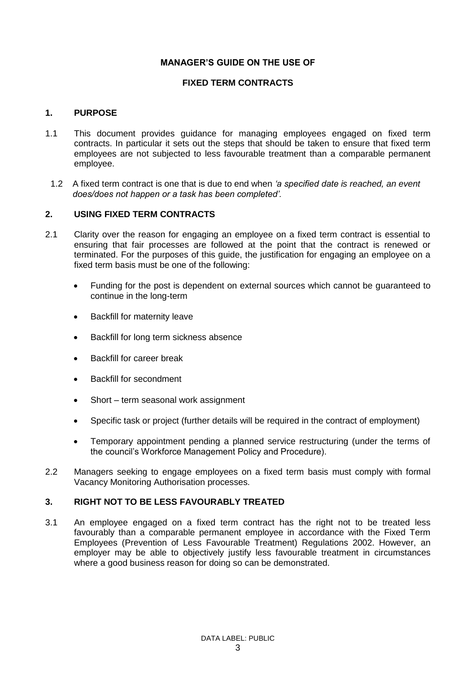## **MANAGER'S GUIDE ON THE USE OF**

## **FIXED TERM CONTRACTS**

#### **1. PURPOSE**

- 1.1 This document provides guidance for managing employees engaged on fixed term contracts. In particular it sets out the steps that should be taken to ensure that fixed term employees are not subjected to less favourable treatment than a comparable permanent employee.
- 1.2 A fixed term contract is one that is due to end when *'a specified date is reached, an event does/does not happen or a task has been completed'.*

#### **2. USING FIXED TERM CONTRACTS**

- 2.1 Clarity over the reason for engaging an employee on a fixed term contract is essential to ensuring that fair processes are followed at the point that the contract is renewed or terminated. For the purposes of this guide, the justification for engaging an employee on a fixed term basis must be one of the following:
	- Funding for the post is dependent on external sources which cannot be guaranteed to continue in the long-term
	- Backfill for maternity leave
	- Backfill for long term sickness absence
	- Backfill for career break
	- Backfill for secondment
	- Short term seasonal work assignment
	- Specific task or project (further details will be required in the contract of employment)
	- Temporary appointment pending a planned service restructuring (under the terms of the council's Workforce Management Policy and Procedure).
- 2.2 Managers seeking to engage employees on a fixed term basis must comply with formal Vacancy Monitoring Authorisation processes.

## **3. RIGHT NOT TO BE LESS FAVOURABLY TREATED**

3.1 An employee engaged on a fixed term contract has the right not to be treated less favourably than a comparable permanent employee in accordance with the Fixed Term Employees (Prevention of Less Favourable Treatment) Regulations 2002. However, an employer may be able to objectively justify less favourable treatment in circumstances where a good business reason for doing so can be demonstrated.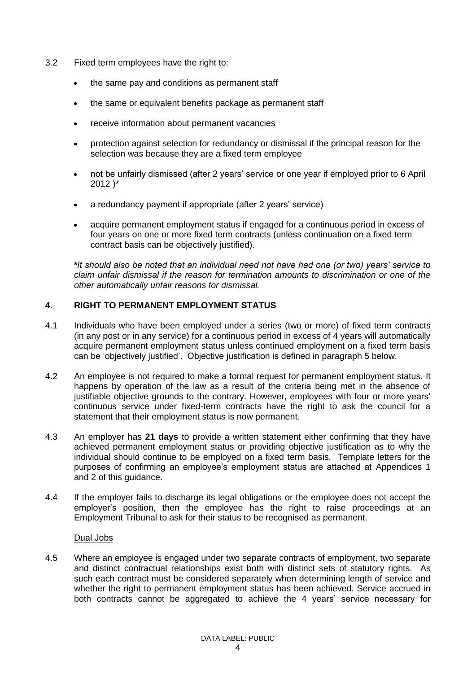- 3.2 Fixed term employees have the right to:
	- the same pay and conditions as permanent staff
	- the same or equivalent benefits package as permanent staff
	- receive information about permanent vacancies
	- protection against selection for redundancy or dismissal if the principal reason for the selection was because they are a fixed term employee
	- not be unfairly dismissed (after 2 years' service or one year if employed prior to 6 April 2012 )\*
	- a redundancy payment if appropriate (after 2 years' service)
	- acquire permanent employment status if engaged for a continuous period in excess of four years on one or more fixed term contracts (unless continuation on a fixed term contract basis can be objectively justified).

*\*It should also be noted that an individual need not have had one (or two) years' service to claim unfair dismissal if the reason for termination amounts to discrimination or one of the other automatically unfair reasons for dismissal.*

## **4. RIGHT TO PERMANENT EMPLOYMENT STATUS**

- 4.1 Individuals who have been employed under a series (two or more) of fixed term contracts (in any post or in any service) for a continuous period in excess of 4 years will automatically acquire permanent employment status unless continued employment on a fixed term basis can be 'objectively justified'. Objective justification is defined in paragraph 5 below.
- 4.2 An employee is not required to make a formal request for permanent employment status. It happens by operation of the law as a result of the criteria being met in the absence of justifiable objective grounds to the contrary. However, employees with four or more years' continuous service under fixed-term contracts have the right to ask the council for a statement that their employment status is now permanent.
- 4.3 An employer has **21 days** to provide a written statement either confirming that they have achieved permanent employment status or providing objective justification as to why the individual should continue to be employed on a fixed term basis. Template letters for the purposes of confirming an employee's employment status are attached at Appendices 1 and 2 of this guidance.
- 4.4 If the employer fails to discharge its legal obligations or the employee does not accept the employer's position, then the employee has the right to raise proceedings at an Employment Tribunal to ask for their status to be recognised as permanent.

#### Dual Jobs

4.5 Where an employee is engaged under two separate contracts of employment, two separate and distinct contractual relationships exist both with distinct sets of statutory rights. As such each contract must be considered separately when determining length of service and whether the right to permanent employment status has been achieved. Service accrued in both contracts cannot be aggregated to achieve the 4 years' service necessary for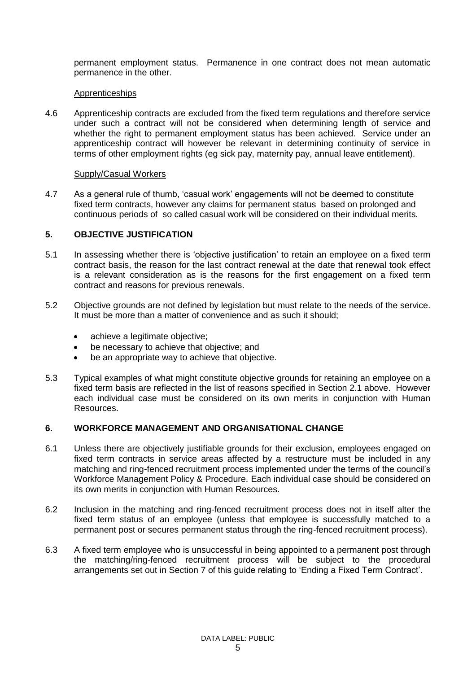permanent employment status. Permanence in one contract does not mean automatic permanence in the other.

#### Apprenticeships

4.6 Apprenticeship contracts are excluded from the fixed term regulations and therefore service under such a contract will not be considered when determining length of service and whether the right to permanent employment status has been achieved. Service under an apprenticeship contract will however be relevant in determining continuity of service in terms of other employment rights (eg sick pay, maternity pay, annual leave entitlement).

#### Supply/Casual Workers

4.7 As a general rule of thumb, 'casual work' engagements will not be deemed to constitute fixed term contracts, however any claims for permanent status based on prolonged and continuous periods of so called casual work will be considered on their individual merits.

#### **5. OBJECTIVE JUSTIFICATION**

- 5.1 In assessing whether there is 'objective justification' to retain an employee on a fixed term contract basis, the reason for the last contract renewal at the date that renewal took effect is a relevant consideration as is the reasons for the first engagement on a fixed term contract and reasons for previous renewals.
- 5.2 Objective grounds are not defined by legislation but must relate to the needs of the service. It must be more than a matter of convenience and as such it should;
	- achieve a legitimate objective;
	- be necessary to achieve that objective; and
	- be an appropriate way to achieve that objective.
- 5.3 Typical examples of what might constitute objective grounds for retaining an employee on a fixed term basis are reflected in the list of reasons specified in Section 2.1 above. However each individual case must be considered on its own merits in conjunction with Human Resources.

#### **6. WORKFORCE MANAGEMENT AND ORGANISATIONAL CHANGE**

- 6.1 Unless there are objectively justifiable grounds for their exclusion, employees engaged on fixed term contracts in service areas affected by a restructure must be included in any matching and ring-fenced recruitment process implemented under the terms of the council's Workforce Management Policy & Procedure. Each individual case should be considered on its own merits in conjunction with Human Resources.
- 6.2 Inclusion in the matching and ring-fenced recruitment process does not in itself alter the fixed term status of an employee (unless that employee is successfully matched to a permanent post or secures permanent status through the ring-fenced recruitment process).
- 6.3 A fixed term employee who is unsuccessful in being appointed to a permanent post through the matching/ring-fenced recruitment process will be subject to the procedural arrangements set out in Section 7 of this guide relating to 'Ending a Fixed Term Contract'.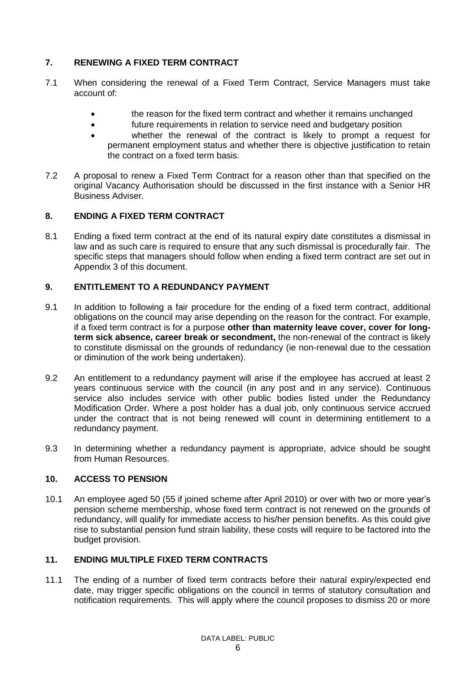# **7. RENEWING A FIXED TERM CONTRACT**

- 7.1 When considering the renewal of a Fixed Term Contract, Service Managers must take account of:
	- the reason for the fixed term contract and whether it remains unchanged
	- future requirements in relation to service need and budgetary position
	- whether the renewal of the contract is likely to prompt a request for permanent employment status and whether there is objective justification to retain the contract on a fixed term basis.
- 7.2 A proposal to renew a Fixed Term Contract for a reason other than that specified on the original Vacancy Authorisation should be discussed in the first instance with a Senior HR Business Adviser.

## **8. ENDING A FIXED TERM CONTRACT**

8.1 Ending a fixed term contract at the end of its natural expiry date constitutes a dismissal in law and as such care is required to ensure that any such dismissal is procedurally fair. The specific steps that managers should follow when ending a fixed term contract are set out in Appendix 3 of this document.

## **9. ENTITLEMENT TO A REDUNDANCY PAYMENT**

- 9.1 In addition to following a fair procedure for the ending of a fixed term contract, additional obligations on the council may arise depending on the reason for the contract. For example, if a fixed term contract is for a purpose **other than maternity leave cover, cover for longterm sick absence, career break or secondment,** the non-renewal of the contract is likely to constitute dismissal on the grounds of redundancy (ie non-renewal due to the cessation or diminution of the work being undertaken).
- 9.2 An entitlement to a redundancy payment will arise if the employee has accrued at least 2 years continuous service with the council (in any post and in any service). Continuous service also includes service with other public bodies listed under the Redundancy Modification Order. Where a post holder has a dual job, only continuous service accrued under the contract that is not being renewed will count in determining entitlement to a redundancy payment.
- 9.3 In determining whether a redundancy payment is appropriate, advice should be sought from Human Resources.

## **10. ACCESS TO PENSION**

10.1 An employee aged 50 (55 if joined scheme after April 2010) or over with two or more year's pension scheme membership, whose fixed term contract is not renewed on the grounds of redundancy, will qualify for immediate access to his/her pension benefits. As this could give rise to substantial pension fund strain liability, these costs will require to be factored into the budget provision.

## **11. ENDING MULTIPLE FIXED TERM CONTRACTS**

11.1 The ending of a number of fixed term contracts before their natural expiry/expected end date, may trigger specific obligations on the council in terms of statutory consultation and notification requirements. This will apply where the council proposes to dismiss 20 or more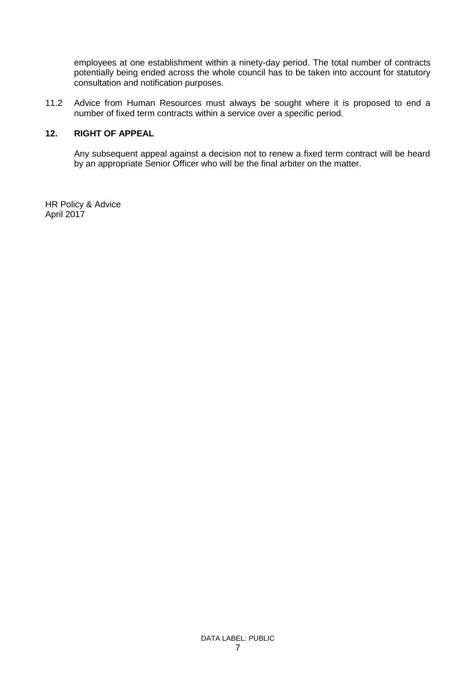employees at one establishment within a ninety-day period. The total number of contracts potentially being ended across the whole council has to be taken into account for statutory consultation and notification purposes.

11.2 Advice from Human Resources must always be sought where it is proposed to end a number of fixed term contracts within a service over a specific period.

#### **12. RIGHT OF APPEAL**

Any subsequent appeal against a decision not to renew a fixed term contract will be heard by an appropriate Senior Officer who will be the final arbiter on the matter.

HR Policy & Advice April 2017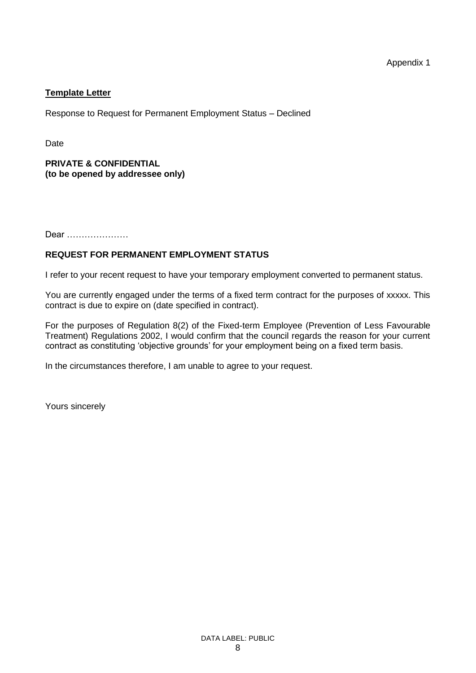## **Template Letter**

Response to Request for Permanent Employment Status – Declined

Date

## **PRIVATE & CONFIDENTIAL (to be opened by addressee only)**

Dear …………………

# **REQUEST FOR PERMANENT EMPLOYMENT STATUS**

I refer to your recent request to have your temporary employment converted to permanent status.

You are currently engaged under the terms of a fixed term contract for the purposes of xxxxx. This contract is due to expire on (date specified in contract).

For the purposes of Regulation 8(2) of the Fixed-term Employee (Prevention of Less Favourable Treatment) Regulations 2002, I would confirm that the council regards the reason for your current contract as constituting 'objective grounds' for your employment being on a fixed term basis.

In the circumstances therefore, I am unable to agree to your request.

Yours sincerely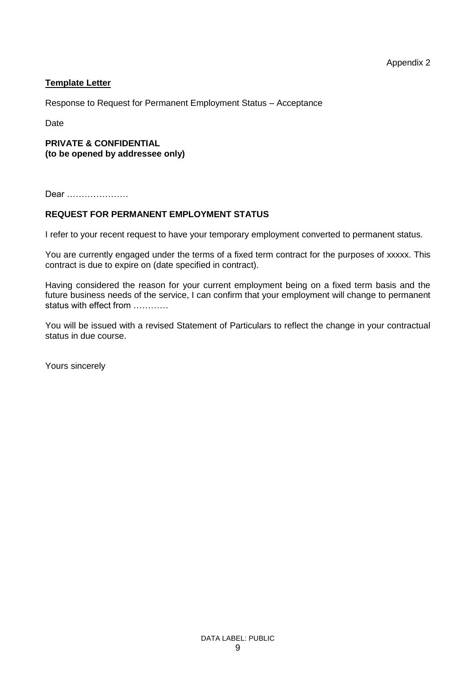## **Template Letter**

Response to Request for Permanent Employment Status – Acceptance

Date

#### **PRIVATE & CONFIDENTIAL (to be opened by addressee only)**

Dear …………………

#### **REQUEST FOR PERMANENT EMPLOYMENT STATUS**

I refer to your recent request to have your temporary employment converted to permanent status.

You are currently engaged under the terms of a fixed term contract for the purposes of xxxxx. This contract is due to expire on (date specified in contract).

Having considered the reason for your current employment being on a fixed term basis and the future business needs of the service, I can confirm that your employment will change to permanent status with effect from …………

You will be issued with a revised Statement of Particulars to reflect the change in your contractual status in due course.

Yours sincerely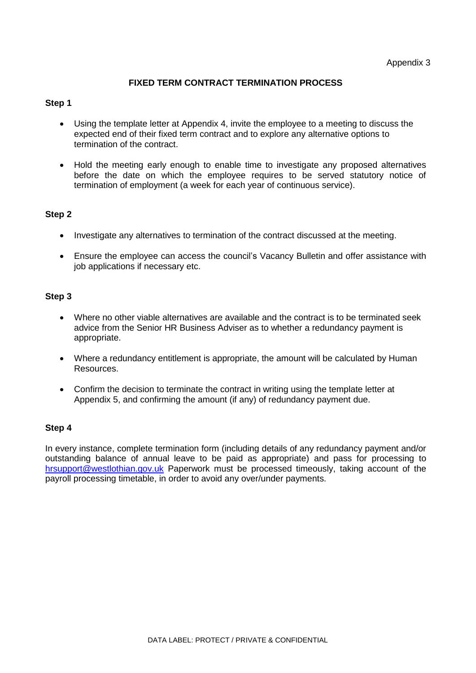## **FIXED TERM CONTRACT TERMINATION PROCESS**

#### **Step 1**

- Using the template letter at Appendix 4, invite the employee to a meeting to discuss the expected end of their fixed term contract and to explore any alternative options to termination of the contract.
- Hold the meeting early enough to enable time to investigate any proposed alternatives before the date on which the employee requires to be served statutory notice of termination of employment (a week for each year of continuous service).

#### **Step 2**

- Investigate any alternatives to termination of the contract discussed at the meeting.
- Ensure the employee can access the council's Vacancy Bulletin and offer assistance with job applications if necessary etc.

#### **Step 3**

- Where no other viable alternatives are available and the contract is to be terminated seek advice from the Senior HR Business Adviser as to whether a redundancy payment is appropriate.
- Where a redundancy entitlement is appropriate, the amount will be calculated by Human Resources.
- Confirm the decision to terminate the contract in writing using the template letter at Appendix 5, and confirming the amount (if any) of redundancy payment due.

#### **Step 4**

In every instance, complete termination form (including details of any redundancy payment and/or outstanding balance of annual leave to be paid as appropriate) and pass for processing to [hrsupport@westlothian.gov.uk](mailto:hrsupport@westlothian.gov.uk) Paperwork must be processed timeously, taking account of the payroll processing timetable, in order to avoid any over/under payments.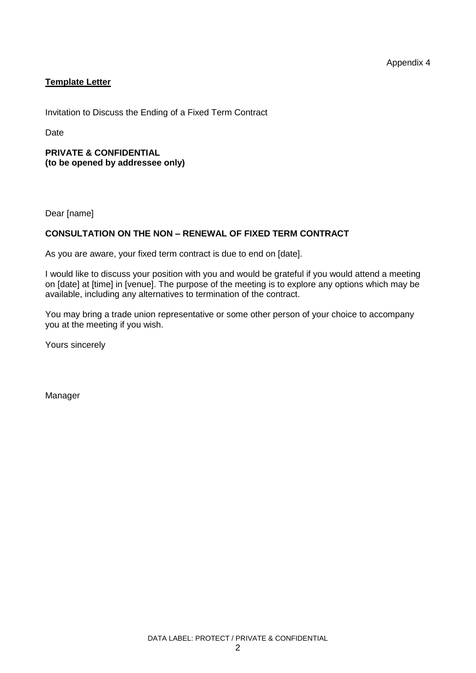Appendix 4

# **Template Letter**

Invitation to Discuss the Ending of a Fixed Term Contract

Date

#### **PRIVATE & CONFIDENTIAL (to be opened by addressee only)**

Dear [name]

# **CONSULTATION ON THE NON – RENEWAL OF FIXED TERM CONTRACT**

As you are aware, your fixed term contract is due to end on [date].

I would like to discuss your position with you and would be grateful if you would attend a meeting on [date] at [time] in [venue]. The purpose of the meeting is to explore any options which may be available, including any alternatives to termination of the contract.

You may bring a trade union representative or some other person of your choice to accompany you at the meeting if you wish.

Yours sincerely

Manager